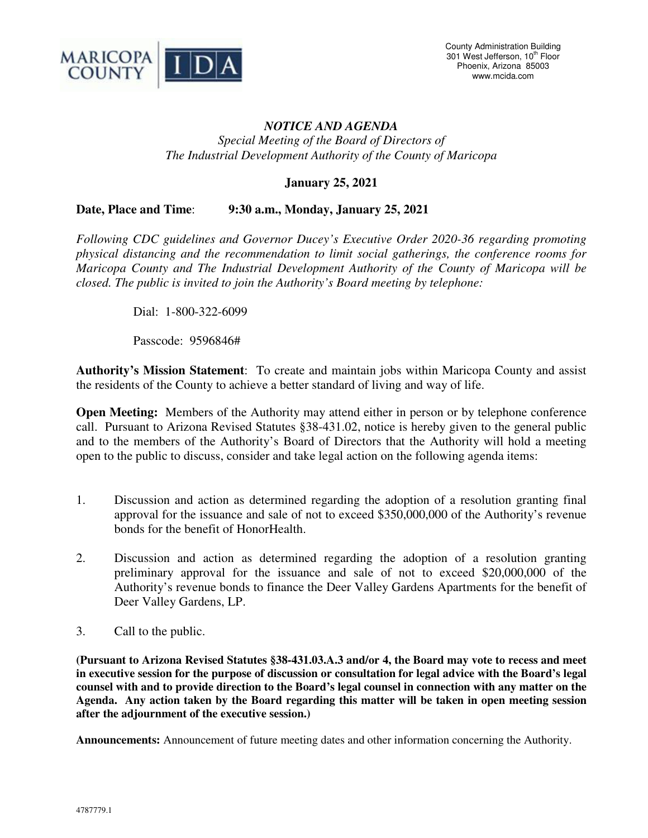

## *NOTICE AND AGENDA*

*Special Meeting of the Board of Directors of The Industrial Development Authority of the County of Maricopa* 

**January 25, 2021** 

## **Date, Place and Time**: **9:30 a.m., Monday, January 25, 2021**

*Following CDC guidelines and Governor Ducey's Executive Order 2020-36 regarding promoting physical distancing and the recommendation to limit social gatherings, the conference rooms for Maricopa County and The Industrial Development Authority of the County of Maricopa will be closed. The public is invited to join the Authority's Board meeting by telephone:* 

Dial: 1-800-322-6099

Passcode: 9596846#

**Authority's Mission Statement**: To create and maintain jobs within Maricopa County and assist the residents of the County to achieve a better standard of living and way of life.

**Open Meeting:** Members of the Authority may attend either in person or by telephone conference call. Pursuant to Arizona Revised Statutes §38-431.02, notice is hereby given to the general public and to the members of the Authority's Board of Directors that the Authority will hold a meeting open to the public to discuss, consider and take legal action on the following agenda items:

- 1. Discussion and action as determined regarding the adoption of a resolution granting final approval for the issuance and sale of not to exceed \$350,000,000 of the Authority's revenue bonds for the benefit of HonorHealth.
- 2. Discussion and action as determined regarding the adoption of a resolution granting preliminary approval for the issuance and sale of not to exceed \$20,000,000 of the Authority's revenue bonds to finance the Deer Valley Gardens Apartments for the benefit of Deer Valley Gardens, LP.
- 3. Call to the public.

**(Pursuant to Arizona Revised Statutes §38-431.03.A.3 and/or 4, the Board may vote to recess and meet in executive session for the purpose of discussion or consultation for legal advice with the Board's legal counsel with and to provide direction to the Board's legal counsel in connection with any matter on the Agenda. Any action taken by the Board regarding this matter will be taken in open meeting session after the adjournment of the executive session.)**

**Announcements:** Announcement of future meeting dates and other information concerning the Authority.